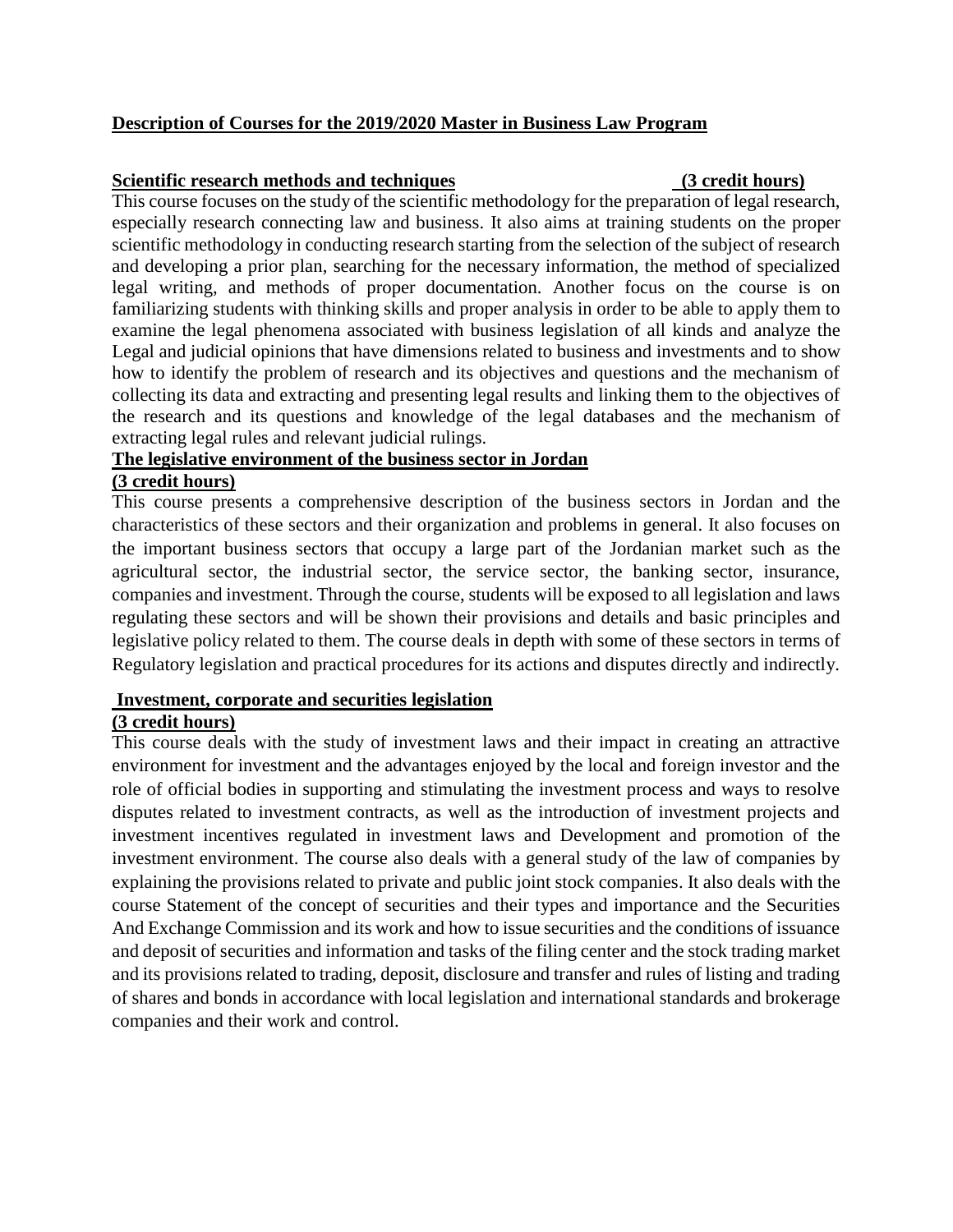# **Description of Courses for the 2019/2020 Master in Business Law Program**

#### **Scientific research methods and techniques (3 credit hours)**

This course focuses on the study of the scientific methodology for the preparation of legal research, especially research connecting law and business. It also aims at training students on the proper scientific methodology in conducting research starting from the selection of the subject of research and developing a prior plan, searching for the necessary information, the method of specialized legal writing, and methods of proper documentation. Another focus on the course is on familiarizing students with thinking skills and proper analysis in order to be able to apply them to examine the legal phenomena associated with business legislation of all kinds and analyze the Legal and judicial opinions that have dimensions related to business and investments and to show how to identify the problem of research and its objectives and questions and the mechanism of collecting its data and extracting and presenting legal results and linking them to the objectives of the research and its questions and knowledge of the legal databases and the mechanism of extracting legal rules and relevant judicial rulings.

## **The legislative environment of the business sector in Jordan**

# **(3 credit hours)**

This course presents a comprehensive description of the business sectors in Jordan and the characteristics of these sectors and their organization and problems in general. It also focuses on the important business sectors that occupy a large part of the Jordanian market such as the agricultural sector, the industrial sector, the service sector, the banking sector, insurance, companies and investment. Through the course, students will be exposed to all legislation and laws regulating these sectors and will be shown their provisions and details and basic principles and legislative policy related to them. The course deals in depth with some of these sectors in terms of Regulatory legislation and practical procedures for its actions and disputes directly and indirectly.

### **Investment, corporate and securities legislation**

## **(3 credit hours)**

This course deals with the study of investment laws and their impact in creating an attractive environment for investment and the advantages enjoyed by the local and foreign investor and the role of official bodies in supporting and stimulating the investment process and ways to resolve disputes related to investment contracts, as well as the introduction of investment projects and investment incentives regulated in investment laws and Development and promotion of the investment environment. The course also deals with a general study of the law of companies by explaining the provisions related to private and public joint stock companies. It also deals with the course Statement of the concept of securities and their types and importance and the Securities And Exchange Commission and its work and how to issue securities and the conditions of issuance and deposit of securities and information and tasks of the filing center and the stock trading market and its provisions related to trading, deposit, disclosure and transfer and rules of listing and trading of shares and bonds in accordance with local legislation and international standards and brokerage companies and their work and control.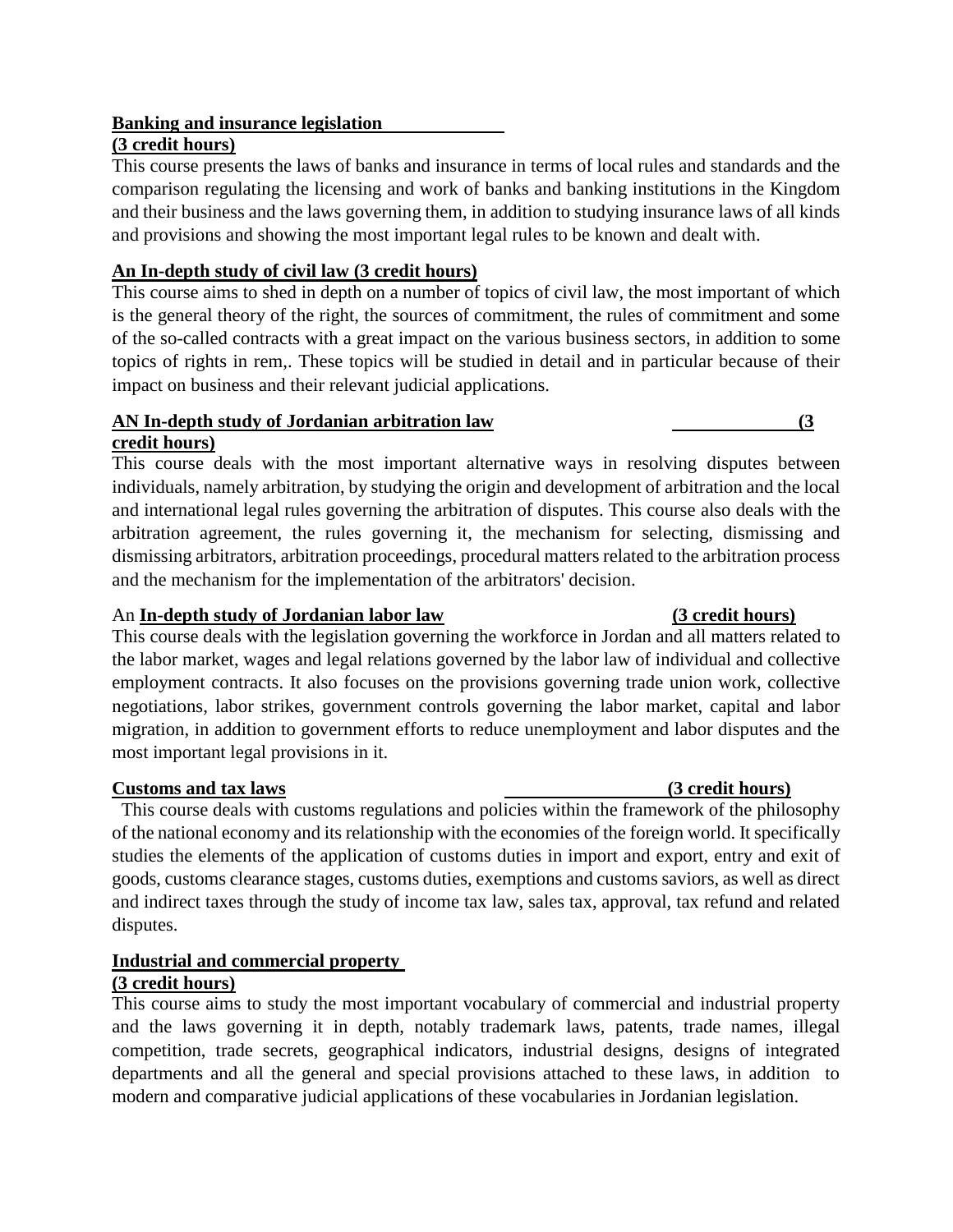# **Banking and insurance legislation**

## **(3 credit hours)**

This course presents the laws of banks and insurance in terms of local rules and standards and the comparison regulating the licensing and work of banks and banking institutions in the Kingdom and their business and the laws governing them, in addition to studying insurance laws of all kinds and provisions and showing the most important legal rules to be known and dealt with.

# **An In-depth study of civil law (3 credit hours)**

This course aims to shed in depth on a number of topics of civil law, the most important of which is the general theory of the right, the sources of commitment, the rules of commitment and some of the so-called contracts with a great impact on the various business sectors, in addition to some topics of rights in rem,. These topics will be studied in detail and in particular because of their impact on business and their relevant judicial applications.

#### **AN In-depth study of Jordanian arbitration law (3 credit hours)**

This course deals with the most important alternative ways in resolving disputes between individuals, namely arbitration, by studying the origin and development of arbitration and the local and international legal rules governing the arbitration of disputes. This course also deals with the arbitration agreement, the rules governing it, the mechanism for selecting, dismissing and dismissing arbitrators, arbitration proceedings, procedural matters related to the arbitration process and the mechanism for the implementation of the arbitrators' decision.

## An **[In-depth study of J](http://07c239b67d5810ab0bd04bf530628552ad323110/file%3A%2F%2F%2FD%3A%5C%D9%83%D8%AA%D8%A8%2520%D8%A7%D9%84%D8%B9%D9%85%D8%A7%D8%AF%D8%A9%2520%D9%84%D9%84%D8%B9%D8%A7%D9%85%25202019-2020%5C%D8%A7%D9%84%D9%85%D8%A7%D8%AC%D8%B3%D8%AA%D9%8A%D8%B1%5C%D8%A7%D9%84%D8%AA%D9%82%D8%B1%D9%8A%D8%B1%2520%D8%A7%D9%84%D8%AE%D8%A7%D8%B5%2520%D8%A8%D8%A7%D8%B3%D8%AA%D8%AD%D8%AF%D8%A7%D8%AB%2520%D8%A8%D8%B1%D9%86%D8%A7%D9%85%D8%AC%2520%D8%A7%D9%84%D9%85%D8%A7%D8%AC%D8%B3%D8%AA%D9%8A%D8%B1%2520%D9%85%D8%B9%D8%AF%D9%84%2520%D8%A7%D9%84%D9%86%D8%B3%D8%AE%D8%A9%2520%D8%A7%D9%84%D9%86%D9%87%D8%A7%D8%A6%D9%8A%D8%A9.docx#_دراسة_متعمقة_في)ordanian labor law (3 credit hours)**

This course deals with the legislation governing the workforce in Jordan and all matters related to the labor market, wages and legal relations governed by the labor law of individual and collective employment contracts. It also focuses on the provisions governing trade union work, collective negotiations, labor strikes, government controls governing the labor market, capital and labor migration, in addition to government efforts to reduce unemployment and labor disputes and the most important legal provisions in it.

### **Customs and tax laws (3 credit hours)**

 This course deals with customs regulations and policies within the framework of the philosophy of the national economy and its relationship with the economies of the foreign world. It specifically studies the elements of the application of customs duties in import and export, entry and exit of goods, customs clearance stages, customs duties, exemptions and customs saviors, as well as direct and indirect taxes through the study of income tax law, sales tax, approval, tax refund and related disputes.

### **Industrial and commercial property (3 credit hours)**

This course aims to study the most important vocabulary of commercial and industrial property and the laws governing it in depth, notably trademark laws, patents, trade names, illegal competition, trade secrets, geographical indicators, industrial designs, designs of integrated departments and all the general and special provisions attached to these laws, in addition to modern and comparative judicial applications of these vocabularies in Jordanian legislation.